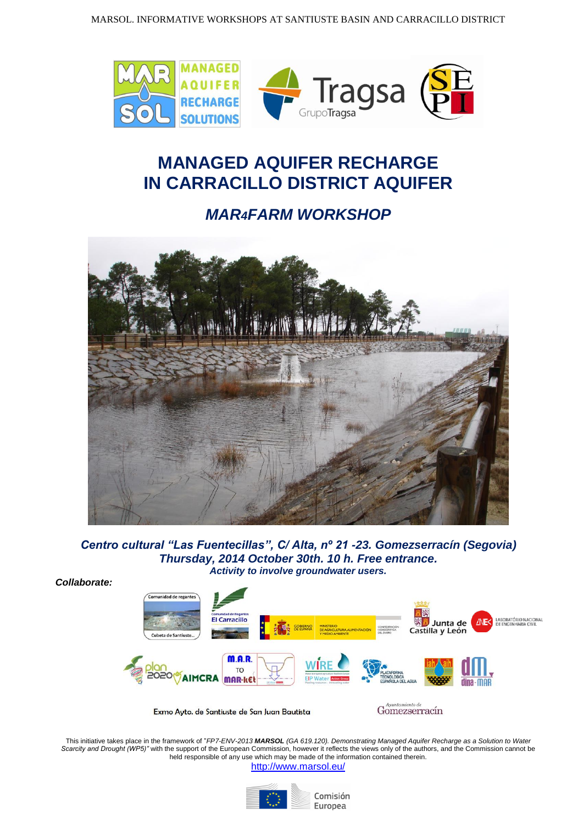

## **MANAGED AQUIFER RECHARGE IN CARRACILLO DISTRICT AQUIFER**

## *MAR4FARM WORKSHOP*



*Centro cultural "Las Fuentecillas", C/ Alta, nº 21 -23. Gomezserracín (Segovia) Thursday, 2014 October 30th. 10 h. Free entrance. Activity to involve groundwater users.*

*Collaborate:*



Exmo Ayto. de Santiuste de San Juan Bautista

Gomezserracín

This initiative takes place in the framework of "*FP7-ENV-2013 MARSOL (GA 619.120). Demonstrating Managed Aquifer Recharge as a Solution to Water Scarcity and Drought (WP5)"* with the support of the European Commission, however it reflects the views only of the authors, and the Commission cannot be held responsible of any use which may be made of the information contained therein. <http://www.marsol.eu/>